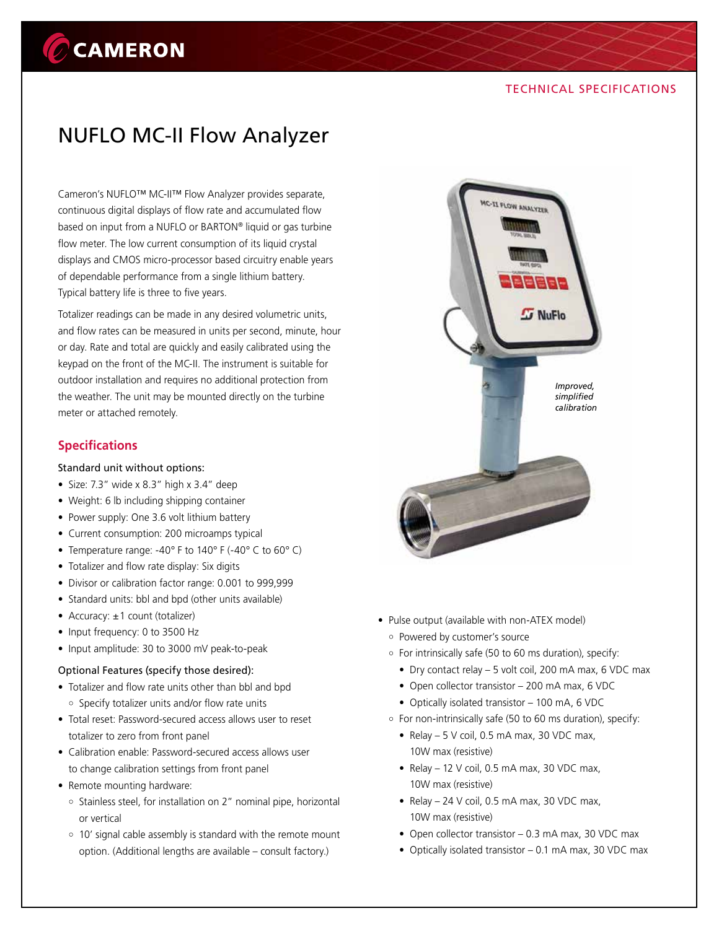# TECHNICAL SPECIFICATIONS

# NUFLO MC-II Flow Analyzer

CAMERON

Cameron's NUFLO™ MC-II™ Flow Analyzer provides separate, continuous digital displays of flow rate and accumulated flow based on input from a NUFLO or BARTON® liquid or gas turbine flow meter. The low current consumption of its liquid crystal displays and CMOS micro-processor based circuitry enable years of dependable performance from a single lithium battery. Typical battery life is three to five years.

Totalizer readings can be made in any desired volumetric units, and flow rates can be measured in units per second, minute, hour or day. Rate and total are quickly and easily calibrated using the keypad on the front of the MC-II. The instrument is suitable for outdoor installation and requires no additional protection from the weather. The unit may be mounted directly on the turbine meter or attached remotely.

# **Specifications**

## Standard unit without options:

- Size: 7.3" wide x 8.3" high x 3.4" deep
- Weight: 6 lb including shipping container
- Power supply: One 3.6 volt lithium battery
- Current consumption: 200 microamps typical
- Temperature range: -40° F to 140° F (-40° C to 60° C)
- Totalizer and flow rate display: Six digits
- Divisor or calibration factor range: 0.001 to 999,999
- Standard units: bbl and bpd (other units available)
- Accuracy: ±1 count (totalizer)
- Input frequency: 0 to 3500 Hz
- Input amplitude: 30 to 3000 mV peak-to-peak

## Optional Features (specify those desired):

- Totalizer and flow rate units other than bbl and bpd o Specify totalizer units and/or flow rate units
- Total reset: Password-secured access allows user to reset totalizer to zero from front panel
- Calibration enable: Password-secured access allows user to change calibration settings from front panel
- Remote mounting hardware:
	- o Stainless steel, for installation on 2" nominal pipe, horizontal or vertical
	- 10' signal cable assembly is standard with the remote mount option. (Additional lengths are available – consult factory.)



- Pulse output (available with non-ATEX model)
	- Powered by customer's source
	- $\circ$  For intrinsically safe (50 to 60 ms duration), specify:
		- Dry contact relay 5 volt coil, 200 mA max, 6 VDC max
		- Open collector transistor 200 mA max, 6 VDC
		- Optically isolated transistor 100 mA, 6 VDC
	- $\circ$  For non-intrinsically safe (50 to 60 ms duration), specify:
		- Relay 5 V coil, 0.5 mA max, 30 VDC max, 10W max (resistive)
		- Relay 12 V coil, 0.5 mA max, 30 VDC max, 10W max (resistive)
		- Relay  $-$  24 V coil, 0.5 mA max, 30 VDC max, 10W max (resistive)
		- Open collector transistor 0.3 mA max, 30 VDC max
		- Optically isolated transistor 0.1 mA max, 30 VDC max